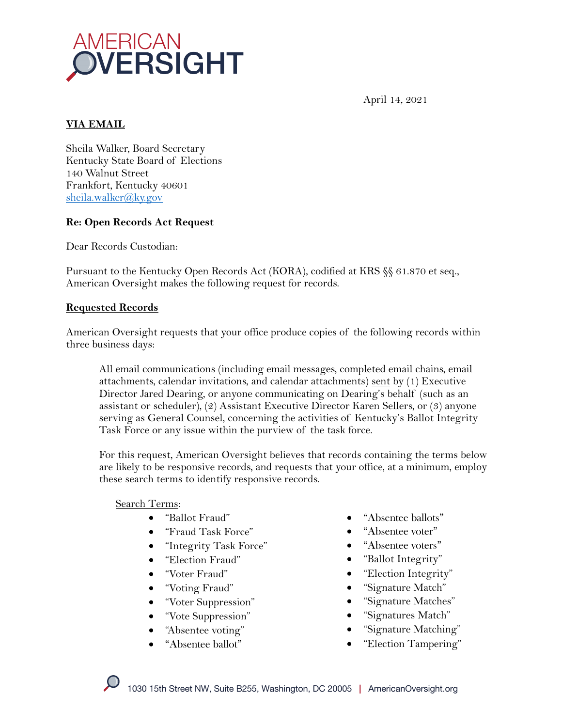

April 14, 2021

# **VIA EMAIL**

Sheila Walker, Board Secretary Kentucky State Board of Elections 140 Walnut Street Frankfort, Kentucky 40601 sheila.walker@ky.gov

### **Re: Open Records Act Request**

Dear Records Custodian:

Pursuant to the Kentucky Open Records Act (KORA), codified at KRS §§ 61.870 et seq., American Oversight makes the following request for records.

#### **Requested Records**

American Oversight requests that your office produce copies of the following records within three business days:

All email communications (including email messages, completed email chains, email attachments, calendar invitations, and calendar attachments)  $sent$  by (1) Executive Director Jared Dearing, or anyone communicating on Dearing's behalf (such as an assistant or scheduler), (2) Assistant Executive Director Karen Sellers, or (3) anyone serving as General Counsel, concerning the activities of Kentucky's Ballot Integrity Task Force or any issue within the purview of the task force.

For this request, American Oversight believes that records containing the terms below are likely to be responsive records, and requests that your office, at a minimum, employ these search terms to identify responsive records.

#### Search Terms:

- "Ballot Fraud"
- "Fraud Task Force"
- "Integrity Task Force"
- "Election Fraud"
- "Voter Fraud"
- "Voting Fraud"
- "Voter Suppression"
- "Vote Suppression"
- "Absentee voting"
- "Absentee ballot"
- "Absentee ballots"
- "Absentee voter"
- "Absentee voters"
- "Ballot Integrity"
- "Election Integrity"
- "Signature Match"
- "Signature Matches"
- "Signatures Match"
- "Signature Matching"
- "Election Tampering"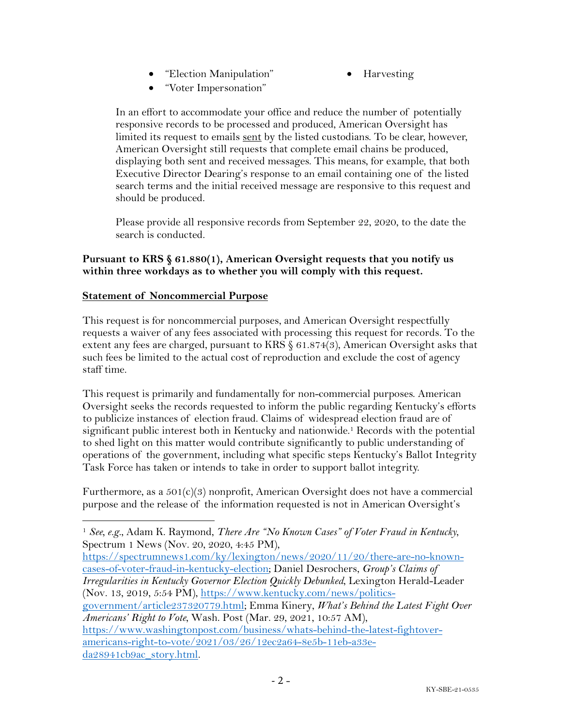- "Election Manipulation"
- Harvesting

• "Voter Impersonation"

In an effort to accommodate your office and reduce the number of potentially responsive records to be processed and produced, American Oversight has limited its request to emails sent by the listed custodians. To be clear, however, American Oversight still requests that complete email chains be produced, displaying both sent and received messages. This means, for example, that both Executive Director Dearing's response to an email containing one of the listed search terms and the initial received message are responsive to this request and should be produced.

Please provide all responsive records from September 22, 2020, to the date the search is conducted.

### **Pursuant to KRS § 61.880(1), American Oversight requests that you notify us within three workdays as to whether you will comply with this request.**

### **Statement of Noncommercial Purpose**

This request is for noncommercial purposes, and American Oversight respectfully requests a waiver of any fees associated with processing this request for records. To the extent any fees are charged, pursuant to KRS § 61.874(3), American Oversight asks that such fees be limited to the actual cost of reproduction and exclude the cost of agency staff time.

This request is primarily and fundamentally for non-commercial purposes. American Oversight seeks the records requested to inform the public regarding Kentucky's efforts to publicize instances of election fraud. Claims of widespread election fraud are of significant public interest both in Kentucky and nationwide.<sup>1</sup> Records with the potential to shed light on this matter would contribute significantly to public understanding of operations of the government, including what specific steps Kentucky's Ballot Integrity Task Force has taken or intends to take in order to support ballot integrity.

Furthermore, as a  $501(c)(3)$  nonprofit, American Oversight does not have a commercial purpose and the release of the information requested is not in American Oversight's

https://spectrumnews1.com/ky/lexington/news/2020/11/20/there-are-no-knowncases-of-voter-fraud-in-kentucky-election; Daniel Desrochers, *Group's Claims of Irregularities in Kentucky Governor Election Quickly Debunked*, Lexington Herald-Leader (Nov. 13, 2019, 5:54 PM), https://www.kentucky.com/news/politics-

government/article237320779.html; Emma Kinery, *What's Behind the Latest Fight Over Americans' Right to Vote*, Wash. Post (Mar. 29, 2021, 10:57 AM),

https://www.washingtonpost.com/business/whats-behind-the-latest-fightoveramericans-right-to-vote/2021/03/26/12ec2a64-8e5b-11eb-a33eda28941cb9ac\_story.html.

<sup>1</sup> *See, e.g.*, Adam K. Raymond, *There Are "No Known Cases" of Voter Fraud in Kentucky*, Spectrum 1 News (Nov. 20, 2020, 4:45 PM),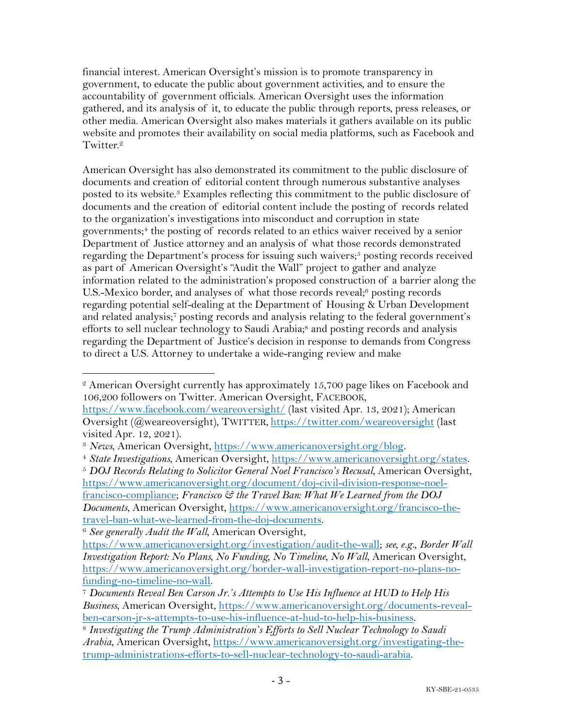financial interest. American Oversight's mission is to promote transparency in government, to educate the public about government activities, and to ensure the accountability of government officials. American Oversight uses the information gathered, and its analysis of it, to educate the public through reports, press releases, or other media. American Oversight also makes materials it gathers available on its public website and promotes their availability on social media platforms, such as Facebook and Twitter.<sup>2</sup>

American Oversight has also demonstrated its commitment to the public disclosure of documents and creation of editorial content through numerous substantive analyses posted to its website.3 Examples reflecting this commitment to the public disclosure of documents and the creation of editorial content include the posting of records related to the organization's investigations into misconduct and corruption in state governments; <sup>4</sup> the posting of records related to an ethics waiver received by a senior Department of Justice attorney and an analysis of what those records demonstrated regarding the Department's process for issuing such waivers;<sup>5</sup> posting records received as part of American Oversight's "Audit the Wall" project to gather and analyze information related to the administration's proposed construction of a barrier along the U.S.-Mexico border, and analyses of what those records reveal;<sup>6</sup> posting records regarding potential self-dealing at the Department of Housing & Urban Development and related analysis;<sup>7</sup> posting records and analysis relating to the federal government's efforts to sell nuclear technology to Saudi Arabia;<sup>8</sup> and posting records and analysis regarding the Department of Justice's decision in response to demands from Congress to direct a U.S. Attorney to undertake a wide-ranging review and make

<sup>2</sup> American Oversight currently has approximately 15,700 page likes on Facebook and 106,200 followers on Twitter. American Oversight, FACEBOOK,

https://www.facebook.com/weareoversight/ (last visited Apr. 13, 2021); American Oversight (@weareoversight), TWITTER, https://twitter.com/weareoversight (last visited Apr. 12, 2021).

<sup>3</sup> *News*, American Oversight, https://www.americanoversight.org/blog. 4 *State Investigations*, American Oversight, https://www.americanoversight.org/states.

<sup>5</sup> *DOJ Records Relating to Solicitor General Noel Francisco's Recusal*, American Oversight, https://www.americanoversight.org/document/doj-civil-division-response-noelfrancisco-compliance; *Francisco & the Travel Ban: What We Learned from the DOJ Documents*, American Oversight, https://www.americanoversight.org/francisco-thetravel-ban-what-we-learned-from-the-doj-documents.

<sup>6</sup> *See generally Audit the Wall*, American Oversight,

https://www.americanoversight.org/investigation/audit-the-wall; *see, e.g.*, *Border Wall Investigation Report: No Plans, No Funding, No Timeline, No Wall*, American Oversight, https://www.americanoversight.org/border-wall-investigation-report-no-plans-nofunding-no-timeline-no-wall. 7 *Documents Reveal Ben Carson Jr.'s Attempts to Use His Influence at HUD to Help His* 

*Business*, American Oversight, https://www.americanoversight.org/documents-revealben-carson-jr-s-attempts-to-use-his-influence-at-hud-to-help-his-business. 8 *Investigating the Trump Administration's Efforts to Sell Nuclear Technology to Saudi* 

*Arabia*, American Oversight, https://www.americanoversight.org/investigating-thetrump-administrations-efforts-to-sell-nuclear-technology-to-saudi-arabia.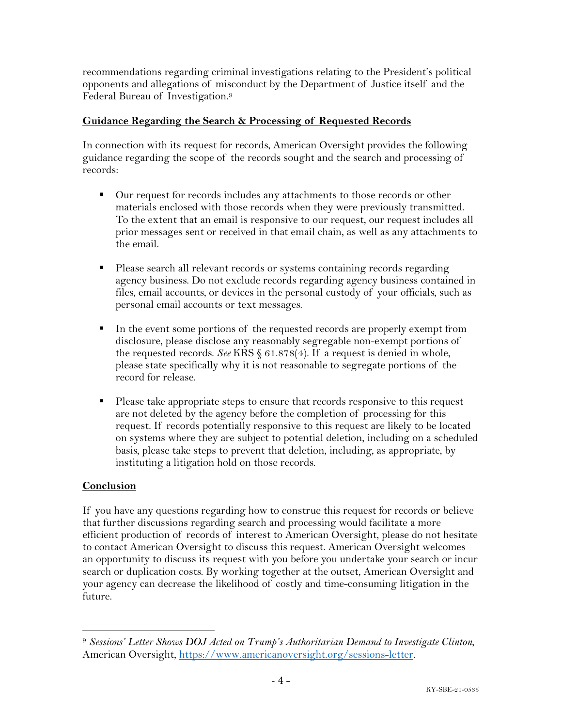recommendations regarding criminal investigations relating to the President's political opponents and allegations of misconduct by the Department of Justice itself and the Federal Bureau of Investigation.9

## **Guidance Regarding the Search & Processing of Requested Records**

In connection with its request for records, American Oversight provides the following guidance regarding the scope of the records sought and the search and processing of records:

- Our request for records includes any attachments to those records or other materials enclosed with those records when they were previously transmitted. To the extent that an email is responsive to our request, our request includes all prior messages sent or received in that email chain, as well as any attachments to the email.
- Please search all relevant records or systems containing records regarding agency business. Do not exclude records regarding agency business contained in files, email accounts, or devices in the personal custody of your officials, such as personal email accounts or text messages.
- In the event some portions of the requested records are properly exempt from disclosure, please disclose any reasonably segregable non-exempt portions of the requested records. *See* KRS § 61.878(4). If a request is denied in whole, please state specifically why it is not reasonable to segregate portions of the record for release.
- Please take appropriate steps to ensure that records responsive to this request are not deleted by the agency before the completion of processing for this request. If records potentially responsive to this request are likely to be located on systems where they are subject to potential deletion, including on a scheduled basis, please take steps to prevent that deletion, including, as appropriate, by instituting a litigation hold on those records.

## **Conclusion**

If you have any questions regarding how to construe this request for records or believe that further discussions regarding search and processing would facilitate a more efficient production of records of interest to American Oversight, please do not hesitate to contact American Oversight to discuss this request. American Oversight welcomes an opportunity to discuss its request with you before you undertake your search or incur search or duplication costs. By working together at the outset, American Oversight and your agency can decrease the likelihood of costly and time-consuming litigation in the future.

<sup>9</sup> *Sessions' Letter Shows DOJ Acted on Trump's Authoritarian Demand to Investigate Clinton*, American Oversight, https://www.americanoversight.org/sessions-letter.